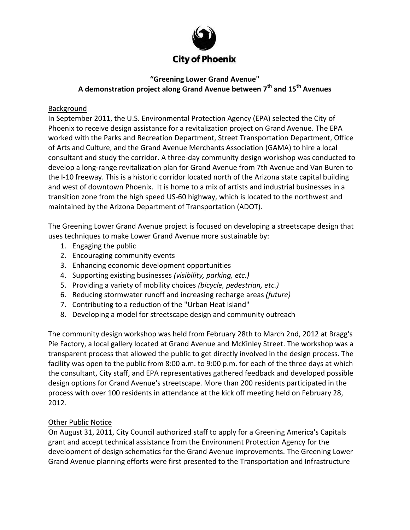

# **"Greening Lower Grand Avenue" A demonstration project along Grand Avenue between 7th and 15th Avenues**

# Background

In September 2011, the U.S. Environmental Protection Agency (EPA) selected the City of Phoenix to receive design assistance for a revitalization project on Grand Avenue. The EPA worked with the Parks and Recreation Department, Street Transportation Department, Office of Arts and Culture, and the Grand Avenue Merchants Association (GAMA) to hire a local consultant and study the corridor. A three-day community design workshop was conducted to develop a long-range revitalization plan for Grand Avenue from 7th Avenue and Van Buren to the I-10 freeway. This is a historic corridor located north of the Arizona state capital building and west of downtown Phoenix. It is home to a mix of artists and industrial businesses in a transition zone from the high speed US-60 highway, which is located to the northwest and maintained by the Arizona Department of Transportation (ADOT).

The Greening Lower Grand Avenue project is focused on developing a streetscape design that uses techniques to make Lower Grand Avenue more sustainable by:

- 1. Engaging the public
- 2. Encouraging community events
- 3. Enhancing economic development opportunities
- 4. Supporting existing businesses *(visibility, parking, etc.)*
- 5. Providing a variety of mobility choices *(bicycle, pedestrian, etc.)*
- 6. Reducing stormwater runoff and increasing recharge areas *(future)*
- 7. Contributing to a reduction of the "Urban Heat Island"
- 8. Developing a model for streetscape design and community outreach

The community design workshop was held from February 28th to March 2nd, 2012 at Bragg's Pie Factory, a local gallery located at Grand Avenue and McKinley Street. The workshop was a transparent process that allowed the public to get directly involved in the design process. The facility was open to the public from 8:00 a.m. to 9:00 p.m. for each of the three days at which the consultant, City staff, and EPA representatives gathered feedback and developed possible design options for Grand Avenue's streetscape. More than 200 residents participated in the process with over 100 residents in attendance at the kick off meeting held on February 28, 2012.

#### Other Public Notice

On August 31, 2011, City Council authorized staff to apply for a Greening America's Capitals grant and accept technical assistance from the Environment Protection Agency for the development of design schematics for the Grand Avenue improvements. The Greening Lower Grand Avenue planning efforts were first presented to the Transportation and Infrastructure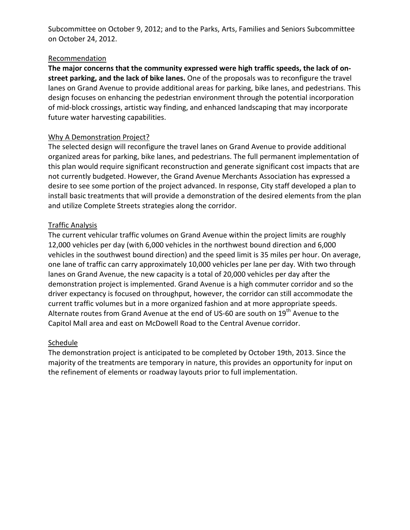Subcommittee on October 9, 2012; and to the Parks, Arts, Families and Seniors Subcommittee on October 24, 2012.

#### Recommendation

**The major concerns that the community expressed were high traffic speeds, the lack of onstreet parking, and the lack of bike lanes.** One of the proposals was to reconfigure the travel lanes on Grand Avenue to provide additional areas for parking, bike lanes, and pedestrians. This design focuses on enhancing the pedestrian environment through the potential incorporation of mid-block crossings, artistic way finding, and enhanced landscaping that may incorporate future water harvesting capabilities.

## Why A Demonstration Project?

The selected design will reconfigure the travel lanes on Grand Avenue to provide additional organized areas for parking, bike lanes, and pedestrians. The full permanent implementation of this plan would require significant reconstruction and generate significant cost impacts that are not currently budgeted. However, the Grand Avenue Merchants Association has expressed a desire to see some portion of the project advanced. In response, City staff developed a plan to install basic treatments that will provide a demonstration of the desired elements from the plan and utilize Complete Streets strategies along the corridor.

## Traffic Analysis

The current vehicular traffic volumes on Grand Avenue within the project limits are roughly 12,000 vehicles per day (with 6,000 vehicles in the northwest bound direction and 6,000 vehicles in the southwest bound direction) and the speed limit is 35 miles per hour. On average, one lane of traffic can carry approximately 10,000 vehicles per lane per day. With two through lanes on Grand Avenue, the new capacity is a total of 20,000 vehicles per day after the demonstration project is implemented. Grand Avenue is a high commuter corridor and so the driver expectancy is focused on throughput, however, the corridor can still accommodate the current traffic volumes but in a more organized fashion and at more appropriate speeds. Alternate routes from Grand Avenue at the end of US-60 are south on 19<sup>th</sup> Avenue to the Capitol Mall area and east on McDowell Road to the Central Avenue corridor.

#### **Schedule**

The demonstration project is anticipated to be completed by October 19th, 2013. Since the majority of the treatments are temporary in nature, this provides an opportunity for input on the refinement of elements or roadway layouts prior to full implementation.